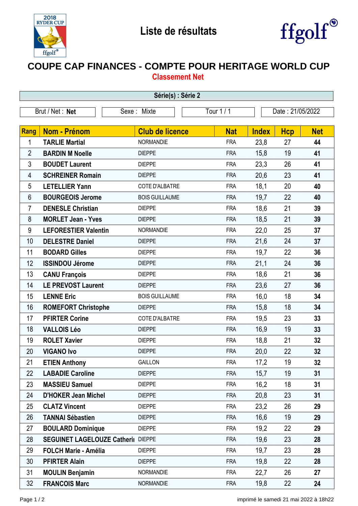



## **COUPE CAP FINANCES - COMPTE POUR HERITAGE WORLD CUP Classement Net**

| Série(s) : Série 2                                               |                                           |                        |            |              |            |            |  |  |  |  |
|------------------------------------------------------------------|-------------------------------------------|------------------------|------------|--------------|------------|------------|--|--|--|--|
| Brut / Net: Net<br>Tour 1 / 1<br>Date: 21/05/2022<br>Sexe: Mixte |                                           |                        |            |              |            |            |  |  |  |  |
|                                                                  |                                           |                        |            |              |            |            |  |  |  |  |
| Rang                                                             | <b>Nom - Prénom</b>                       | <b>Club de licence</b> | <b>Nat</b> | <b>Index</b> | <b>Hcp</b> | <b>Net</b> |  |  |  |  |
| 1                                                                | <b>TARLIE Martial</b>                     | <b>NORMANDIE</b>       | <b>FRA</b> | 23,8         | 27         | 44         |  |  |  |  |
| $\overline{2}$                                                   | <b>BARDIN M Noelle</b>                    | <b>DIEPPE</b>          | <b>FRA</b> | 15,8         | 19         | 41         |  |  |  |  |
| 3                                                                | <b>BOUDET Laurent</b>                     | <b>DIEPPE</b>          | <b>FRA</b> | 23,3         | 26         | 41         |  |  |  |  |
| 4                                                                | <b>SCHREINER Romain</b>                   | <b>DIEPPE</b>          | <b>FRA</b> | 20,6         | 23         | 41         |  |  |  |  |
| 5                                                                | <b>LETELLIER Yann</b>                     | COTE D'ALBATRE         | <b>FRA</b> | 18,1         | 20         | 40         |  |  |  |  |
| 6                                                                | <b>BOURGEOIS Jerome</b>                   | <b>BOIS GUILLAUME</b>  | <b>FRA</b> | 19,7         | 22         | 40         |  |  |  |  |
| $\overline{7}$                                                   | <b>DENESLE Christian</b>                  | <b>DIEPPE</b>          | <b>FRA</b> | 18,6         | 21         | 39         |  |  |  |  |
| 8                                                                | <b>MORLET Jean - Yves</b>                 | <b>DIEPPE</b>          | <b>FRA</b> | 18,5         | 21         | 39         |  |  |  |  |
| 9                                                                | <b>LEFORESTIER Valentin</b>               | <b>NORMANDIE</b>       | <b>FRA</b> | 22,0         | 25         | 37         |  |  |  |  |
| 10                                                               | <b>DELESTRE Daniel</b>                    | <b>DIEPPE</b>          | <b>FRA</b> | 21,6         | 24         | 37         |  |  |  |  |
| 11                                                               | <b>BODARD Gilles</b>                      | <b>DIEPPE</b>          | <b>FRA</b> | 19,7         | 22         | 36         |  |  |  |  |
| 12                                                               | <b>ISSINDOU Jérome</b>                    | <b>DIEPPE</b>          | <b>FRA</b> | 21,1         | 24         | 36         |  |  |  |  |
| 13                                                               | <b>CANU François</b>                      | <b>DIEPPE</b>          | <b>FRA</b> | 18,6         | 21         | 36         |  |  |  |  |
| 14                                                               | <b>LE PREVOST Laurent</b>                 | <b>DIEPPE</b>          | <b>FRA</b> | 23,6         | 27         | 36         |  |  |  |  |
| 15                                                               | <b>LENNE Eric</b>                         | <b>BOIS GUILLAUME</b>  | <b>FRA</b> | 16,0         | 18         | 34         |  |  |  |  |
| 16                                                               | <b>ROMEFORT Christophe</b>                | <b>DIEPPE</b>          | <b>FRA</b> | 15,8         | 18         | 34         |  |  |  |  |
| 17                                                               | <b>PFIRTER Corine</b>                     | COTE D'ALBATRE         | <b>FRA</b> | 19,5         | 23         | 33         |  |  |  |  |
| 18                                                               | <b>VALLOIS Léo</b>                        | <b>DIEPPE</b>          | <b>FRA</b> | 16,9         | 19         | 33         |  |  |  |  |
| 19                                                               | <b>ROLET Xavier</b>                       | <b>DIEPPE</b>          | <b>FRA</b> | 18,8         | 21         | 32         |  |  |  |  |
| 20                                                               | <b>VIGANO Ivo</b>                         | <b>DIEPPE</b>          | <b>FRA</b> | 20,0         | 22         | 32         |  |  |  |  |
| 21                                                               | <b>ETIEN Anthony</b>                      | <b>GAILLON</b>         | <b>FRA</b> | 17,2         | 19         | 32         |  |  |  |  |
| 22                                                               | <b>LABADIE Caroline</b>                   | <b>DIEPPE</b>          | <b>FRA</b> | 15,7         | 19         | 31         |  |  |  |  |
| 23                                                               | <b>MASSIEU Samuel</b>                     | <b>DIEPPE</b>          | <b>FRA</b> | 16,2         | 18         | 31         |  |  |  |  |
| 24                                                               | <b>D'HOKER Jean Michel</b>                | <b>DIEPPE</b>          | <b>FRA</b> | 20,8         | 23         | 31         |  |  |  |  |
| 25                                                               | <b>CLATZ Vincent</b>                      | <b>DIEPPE</b>          | <b>FRA</b> | 23,2         | 26         | 29         |  |  |  |  |
| 26                                                               | <b>TANNAI Sébastien</b>                   | <b>DIEPPE</b>          | <b>FRA</b> | 16,6         | 19         | 29         |  |  |  |  |
| 27                                                               | <b>BOULARD Dominique</b>                  | <b>DIEPPE</b>          | <b>FRA</b> | 19,2         | 22         | 29         |  |  |  |  |
| 28                                                               | <b>SEGUINET LAGELOUZE Catheril DIEPPE</b> |                        | <b>FRA</b> | 19,6         | 23         | 28         |  |  |  |  |
| 29                                                               | <b>FOLCH Marie - Amélia</b>               | <b>DIEPPE</b>          | <b>FRA</b> | 19,7         | 23         | 28         |  |  |  |  |
| 30                                                               | <b>PFIRTER Alain</b>                      | <b>DIEPPE</b>          | <b>FRA</b> | 19,8         | 22         | 28         |  |  |  |  |
| 31                                                               | <b>MOULIN Benjamin</b>                    | <b>NORMANDIE</b>       | <b>FRA</b> | 22,7         | 26         | 27         |  |  |  |  |
| 32                                                               | <b>FRANCOIS Marc</b>                      | NORMANDIE              | <b>FRA</b> | 19,8         | 22         | 24         |  |  |  |  |